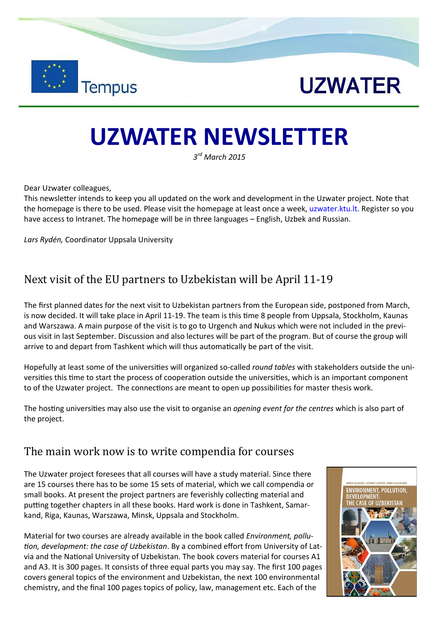



## **UZWATER NEWSLETTER**

*3 rd March 2015* 

Dear Uzwater colleagues,

This newsletter intends to keep you all updated on the work and development in the Uzwater project. Note that the homepage is there to be used. Please visit the homepage at least once a week, uzwater.ktu.lt. Register so you have access to Intranet. The homepage will be in three languages – English, Uzbek and Russian.

*Lars Rydén,* Coordinator Uppsala University

## Next visit of the EU partners to Uzbekistan will be April 11-19

The first planned dates for the next visit to Uzbekistan partners from the European side, postponed from March, is now decided. It will take place in April 11-19. The team is this time 8 people from Uppsala, Stockholm, Kaunas and Warszawa. A main purpose of the visit is to go to Urgench and Nukus which were not included in the previous visit in last September. Discussion and also lectures will be part of the program. But of course the group will arrive to and depart from Tashkent which will thus automatically be part of the visit.

Hopefully at least some of the universities will organized so-called *round tables* with stakeholders outside the universities this time to start the process of cooperation outside the universities, which is an important component to of the Uzwater project. The connections are meant to open up possibilities for master thesis work.

The hosting universities may also use the visit to organise an *opening event for the centres* which is also part of the project.

## The main work now is to write compendia for courses

The Uzwater project foresees that all courses will have a study material. Since there are 15 courses there has to be some 15 sets of material, which we call compendia or small books. At present the project partners are feverishly collecting material and putting together chapters in all these books. Hard work is done in Tashkent, Samarkand, Riga, Kaunas, Warszawa, Minsk, Uppsala and Stockholm.

Material for two courses are already available in the book called *Environment, pollution, development: the case of Uzbekistan*. By a combined effort from University of Latvia and the National University of Uzbekistan. The book covers material for courses A1 and A3. It is 300 pages. It consists of three equal parts you may say. The first 100 pages covers general topics of the environment and Uzbekistan, the next 100 environmental chemistry, and the final 100 pages topics of policy, law, management etc. Each of the